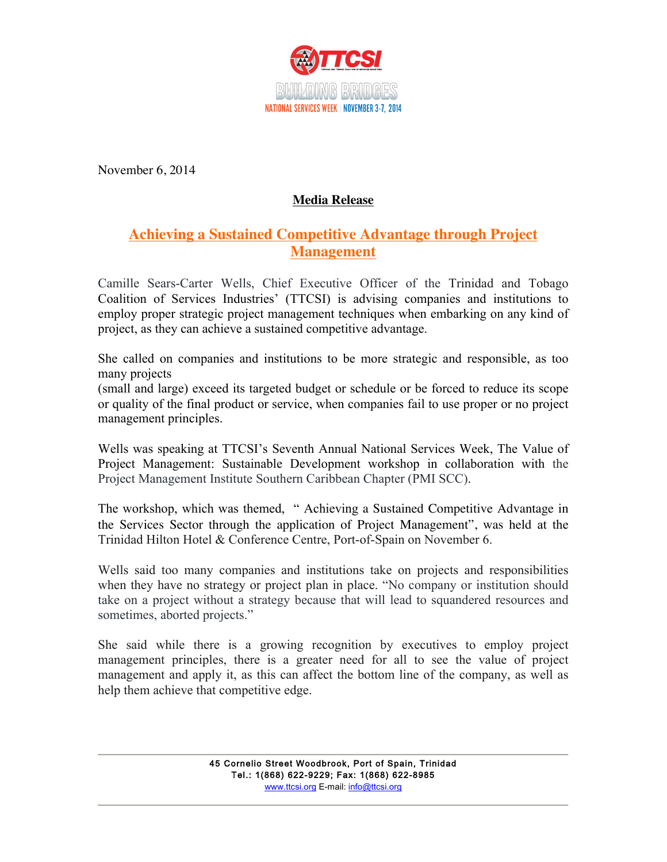

November 6, 2014

## **Media Release**

## **Achieving a Sustained Competitive Advantage through Project Management**

Camille Sears-Carter Wells, Chief Executive Officer of the Trinidad and Tobago Coalition of Services Industries' (TTCSI) is advising companies and institutions to employ proper strategic project management techniques when embarking on any kind of project, as they can achieve a sustained competitive advantage.

She called on companies and institutions to be more strategic and responsible, as too many projects

(small and large) exceed its targeted budget or schedule or be forced to reduce its scope or quality of the final product or service, when companies fail to use proper or no project management principles.

Wells was speaking at TTCSI's Seventh Annual National Services Week, The Value of Project Management: Sustainable Development workshop in collaboration with the Project Management Institute Southern Caribbean Chapter (PMI SCC).

The workshop, which was themed, " Achieving a Sustained Competitive Advantage in the Services Sector through the application of Project Management", was held at the Trinidad Hilton Hotel & Conference Centre, Port-of-Spain on November 6.

Wells said too many companies and institutions take on projects and responsibilities when they have no strategy or project plan in place. "No company or institution should take on a project without a strategy because that will lead to squandered resources and sometimes, aborted projects."

She said while there is a growing recognition by executives to employ project management principles, there is a greater need for all to see the value of project management and apply it, as this can affect the bottom line of the company, as well as help them achieve that competitive edge.